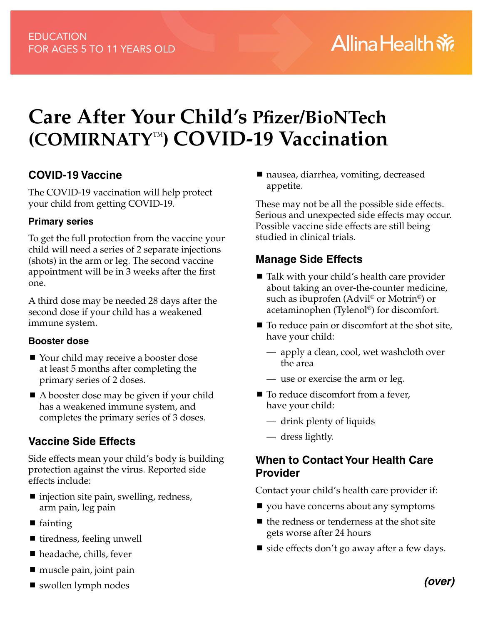# **Care After Your Child's Pfizer/BioNTech (COMIRNATY**™**) COVID-19 Vaccination**

#### **COVID-19 Vaccine**

The COVID-19 vaccination will help protect your child from getting COVID-19.

#### **Primary series**

To get the full protection from the vaccine your child will need a series of 2 separate injections (shots) in the arm or leg. The second vaccine appointment will be in 3 weeks after the first one.

A third dose may be needed 28 days after the second dose if your child has a weakened immune system.

#### **Booster dose**

- Your child may receive a booster dose at least 5 months after completing the primary series of 2 doses.
- A booster dose may be given if your child has a weakened immune system, and completes the primary series of 3 doses.

# **Vaccine Side Effects**

Side effects mean your child's body is building protection against the virus. Reported side effects include:

- $\blacksquare$  injection site pain, swelling, redness, arm pain, leg pain
- fainting
- $\blacksquare$  tiredness, feeling unwell
- headache, chills, fever
- $\blacksquare$  muscle pain, joint pain
- swollen lymph nodes

■ nausea, diarrhea, vomiting, decreased appetite.

These may not be all the possible side effects. Serious and unexpected side effects may occur. Possible vaccine side effects are still being studied in clinical trials.

## **Manage Side Effects**

- Talk with your child's health care provider about taking an over-the-counter medicine, such as ibuprofen (Advil® or Motrin®) or acetaminophen (Tylenol®) for discomfort.
- $\blacksquare$  To reduce pain or discomfort at the shot site, have your child:
	- apply a clean, cool, wet washcloth over the area
	- use or exercise the arm or leg.
- To reduce discomfort from a fever, have your child:
	- drink plenty of liquids
	- dress lightly.

#### **When to Contact Your Health Care Provider**

Contact your child's health care provider if:

- vou have concerns about any symptoms
- $\blacksquare$  the redness or tenderness at the shot site gets worse after 24 hours
- side effects don't go away after a few days.

*(over)*